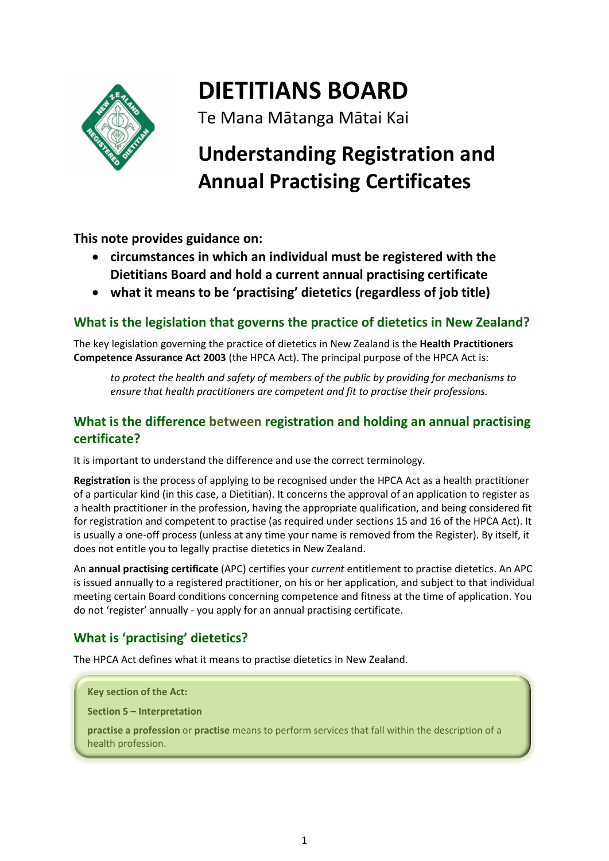

# **DIETITIANS BOARD**

Te Mana Mātanga Mātai Kai

# **Understanding Registration and Annual Practising Certificates**

**This note provides guidance on:** 

- **circumstances in which an individual must be registered with the Dietitians Board and hold a current annual practising certificate**
- **what it means to be 'practising' dietetics (regardless of job title)**

## **What is the legislation that governs the practice of dietetics in New Zealand?**

The key legislation governing the practice of dietetics in New Zealand is the **Health Practitioners Competence Assurance Act 2003** (the HPCA Act). The principal purpose of the HPCA Act is:

*to protect the health and safety of members of the public by providing for mechanisms to ensure that health practitioners are competent and fit to practise their professions.*

## **What is the difference between registration and holding an annual practising certificate?**

It is important to understand the difference and use the correct terminology.

**Registration** is the process of applying to be recognised under the HPCA Act as a health practitioner of a particular kind (in this case, a Dietitian). It concerns the approval of an application to register as a health practitioner in the profession, having the appropriate qualification, and being considered fit for registration and competent to practise (as required under sections 15 and 16 of the HPCA Act). It is usually a one-off process (unless at any time your name is removed from the Register). By itself, it does not entitle you to legally practise dietetics in New Zealand.

An **annual practising certificate** (APC) certifies your *current* entitlement to practise dietetics. An APC is issued annually to a registered practitioner, on his or her application, and subject to that individual meeting certain Board conditions concerning competence and fitness at the time of application. You do not 'register' annually - you apply for an annual practising certificate.

# **What is 'practising' dietetics?**

The HPCA Act defines what it means to practise dietetics in New Zealand.

**Key section of the Act:**

**Section 5 – Interpretation**

**practise a profession** or **practise** means to perform services that fall within the description of a health profession.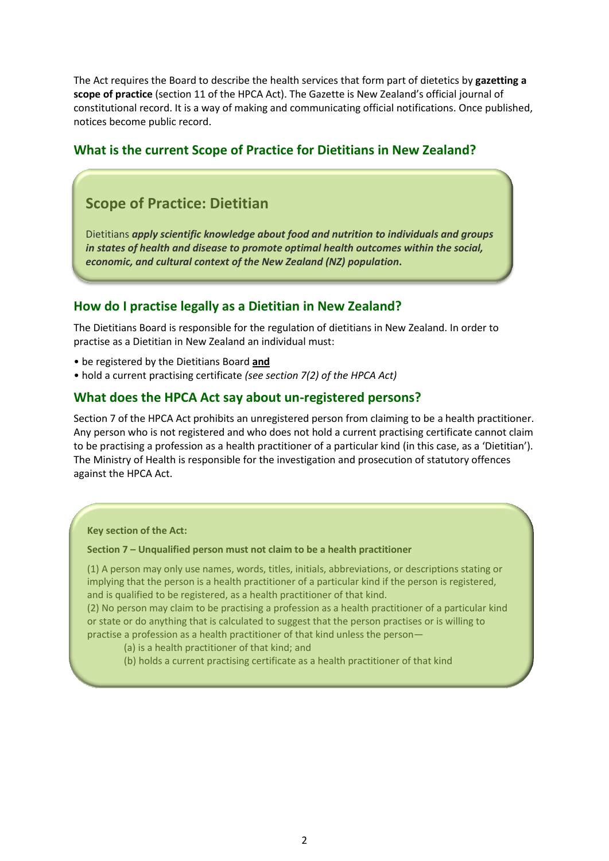The Act requires the Board to describe the health services that form part of dietetics by **gazetting a scope of practice** (section 11 of the HPCA Act). The Gazette is New Zealand's official journal of constitutional record. It is a way of making and communicating official notifications. Once published, notices become public record.

## **What is the current Scope of Practice for Dietitians in New Zealand?**

# **Scope of Practice: Dietitian**

Dietitians *apply scientific knowledge about food and nutrition to individuals and groups in states of health and disease to promote optimal health outcomes within the social, economic, and cultural context of the New Zealand (NZ) population***.**

### **How do I practise legally as a Dietitian in New Zealand?**

The Dietitians Board is responsible for the regulation of dietitians in New Zealand. In order to practise as a Dietitian in New Zealand an individual must:

- be registered by the Dietitians Board **and**
- hold a current practising certificate *(see section 7(2) of the HPCA Act)*

### **What does the HPCA Act say about un-registered persons?**

Section 7 of the HPCA Act prohibits an unregistered person from claiming to be a health practitioner. Any person who is not registered and who does not hold a current practising certificate cannot claim to be practising a profession as a health practitioner of a particular kind (in this case, as a 'Dietitian'). The Ministry of Health is responsible for the investigation and prosecution of statutory offences against the HPCA Act.

#### **Key section of the Act:**

**Section 7 – Unqualified person must not claim to be a health practitioner**

(1) A person may only use names, words, titles, initials, abbreviations, or descriptions stating or implying that the person is a health practitioner of a particular kind if the person is registered, and is qualified to be registered, as a health practitioner of that kind.

or state or do anything that is calculated to suggest that the person practises or is willing to (2) No person may claim to be practising a profession as a health practitioner of a particular kind practise a profession as a health practitioner of that kind unless the person—

- practise a procession as a nearm practitioner of that kind anness the person.<br>(a) is a health practitioner of that kind; and
- (b) holds a current practising certificate as a health practitioner of that kind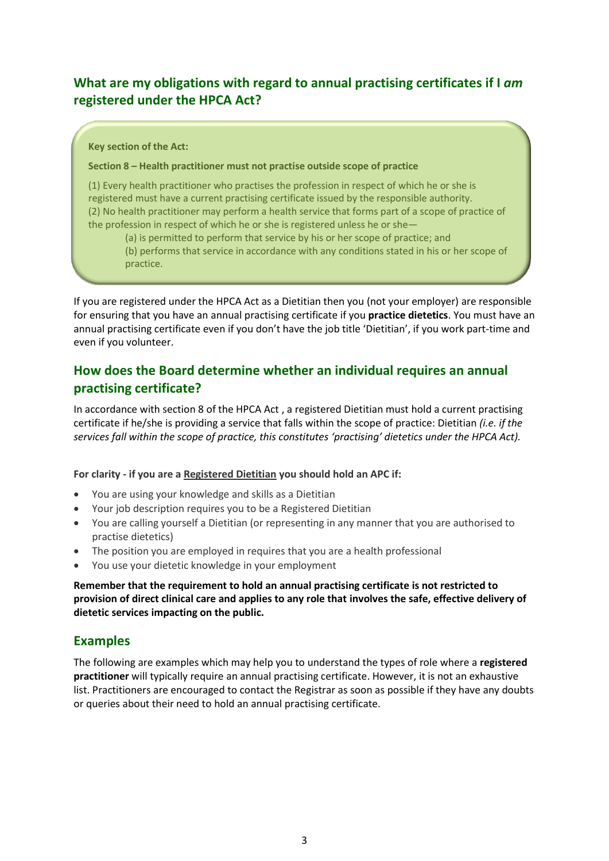# **What are my obligations with regard to annual practising certificates if I** *am* **registered under the HPCA Act?**

#### **Key section of the Act:**

#### **Section 8 – Health practitioner must not practise outside scope of practice**

(1) Every health practitioner who practises the profession in respect of which he or she is registered must have a current practising certificate issued by the responsible authority. (2) No health practitioner may perform a health service that forms part of a scope of practice of the profession in respect of which he or she is registered unless he or she—

(a) is permitted to perform that service by his or her scope of practice; and (b) performs that service in accordance with any conditions stated in his or her scope of practice.

If you are registered under the HPCA Act as a Dietitian then you (not your employer) are responsible for ensuring that you have an annual practising certificate if you **practice dietetics**. You must have an annual practising certificate even if you don't have the job title 'Dietitian', if you work part-time and even if you volunteer.

## **How does the Board determine whether an individual requires an annual practising certificate?**

In accordance with section 8 of the HPCA Act , a registered Dietitian must hold a current practising certificate if he/she is providing a service that falls within the scope of practice: Dietitian *(i.e. if the services fall within the scope of practice, this constitutes 'practising' dietetics under the HPCA Act).*

#### **For clarity - if you are a Registered Dietitian you should hold an APC if:**

- You are using your knowledge and skills as a Dietitian
- Your job description requires you to be a Registered Dietitian
- You are calling yourself a Dietitian (or representing in any manner that you are authorised to practise dietetics)
- The position you are employed in requires that you are a health professional
- You use your dietetic knowledge in your employment

**Remember that the requirement to hold an annual practising certificate is not restricted to provision of direct clinical care and applies to any role that involves the safe, effective delivery of dietetic services impacting on the public.** 

## **Examples**

The following are examples which may help you to understand the types of role where a **registered practitioner** will typically require an annual practising certificate. However, it is not an exhaustive list. Practitioners are encouraged to contact the Registrar as soon as possible if they have any doubts or queries about their need to hold an annual practising certificate.